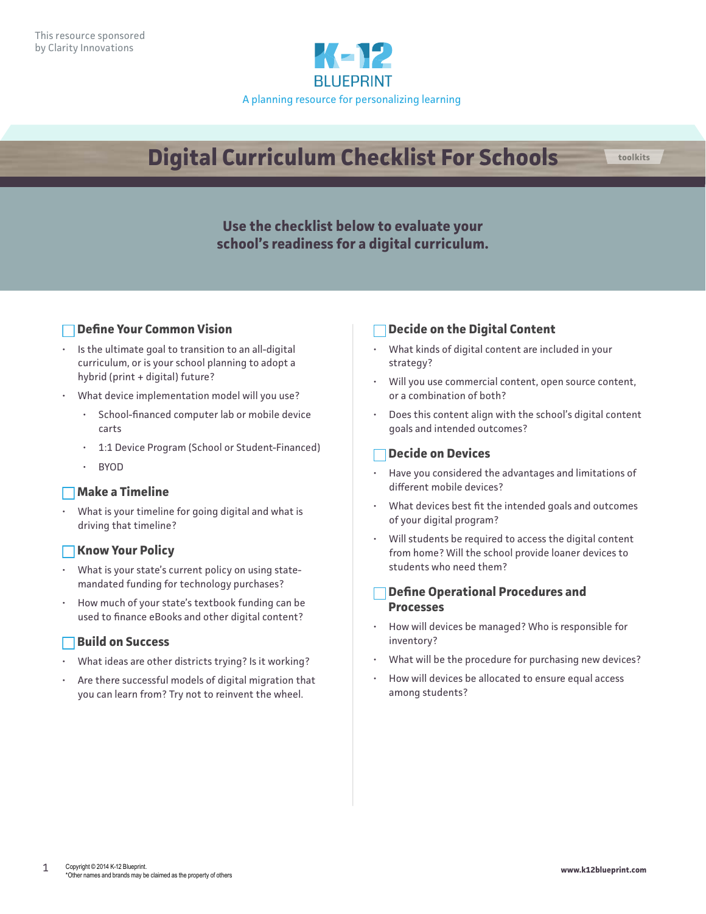

# **Digital Curriculum Checklist For Schools toolkits**

# **Use the checklist below to evaluate your school's readiness for a digital curriculum.**

# **Define Your Common Vision**

- Is the ultimate goal to transition to an all-digital curriculum, or is your school planning to adopt a hybrid (print + digital) future?
- What device implementation model will you use?
	- School-financed computer lab or mobile device carts
	- 1:1 Device Program (School or Student-Financed)
	- BYOD

#### **Make a Timeline**

• What is your timeline for going digital and what is driving that timeline?

#### **Know Your Policy**

- What is your state's current policy on using statemandated funding for technology purchases?
- How much of your state's textbook funding can be used to finance eBooks and other digital content?

# **Build on Success**

- What ideas are other districts trying? Is it working?
- Are there successful models of digital migration that you can learn from? Try not to reinvent the wheel.

# **Decide on the Digital Content**

- What kinds of digital content are included in your strategy?
- Will you use commercial content, open source content, or a combination of both?
- Does this content align with the school's digital content goals and intended outcomes?

### **Decide on Devices**

- Have you considered the advantages and limitations of different mobile devices?
- What devices best fit the intended goals and outcomes of your digital program?
- Will students be required to access the digital content from home? Will the school provide loaner devices to students who need them?

## **Define Operational Procedures and Processes**

- How will devices be managed? Who is responsible for inventory?
- What will be the procedure for purchasing new devices?
- How will devices be allocated to ensure equal access among students?